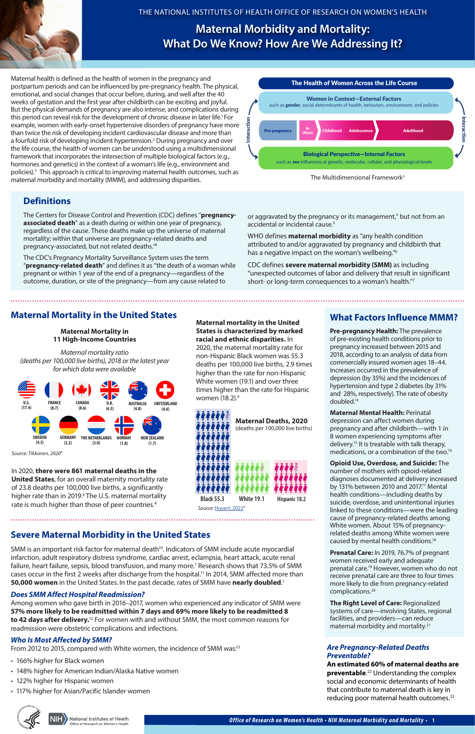*Office of Research on Women's Health • NIH Maternal Morbidity and Mor tality* **• 1**



### THE NATIONAL INSTITUTES OF HEALTH OFFICE OF RESEARCH ON WOMEN'S HEALTH



The Multidimensional Framework<sup>3</sup>

Maternal health is defined as the health of women in the pregnancy and postpartum periods and can be influenced by pre-pregnancy health. The physical, emotional, and social changes that occur before, during, and well after the 40 weeks of gestation and the first year after childbirth can be exciting and joyful. But the physical demands of pregnancy are also intense, and complications during this period can reveal risk for the development of chronic disease in later life.<sup>1</sup> For example, women with early-onset hypertensive disorders of pregnancy have more than twice the risk of developing incident cardiovascular disease and more than a fourfold risk of developing incident hypertension.<sup>2</sup> During pregnancy and over the life course, the health of women can be understood using a multidimensional framework that incorporates the intersection of multiple biological factors (e.g., hormones and genetics) in the context of a woman's life (e.g., environment and policies).<sup>3</sup> This approach is critical to improving maternal health outcomes, such as maternal morbidity and mortality (MMM), and addressing disparities.

> 2020, the maternal mortality rate for non-Hispanic Black women was 55.3 deaths per 100,000 live births, 2.9 times higher than the rate for non-Hispanic White women (19.1) and over three times higher than the rate for Hispanic women (18.2).<sup>9</sup>

# **Definitions**

The Centers for Disease Control and Prevention (CDC) defines "**pregnancyassociated death**" as a death during or within one year of pregnancy, regardless of the cause. These deaths make up the universe of maternal mortality; within that universe are pregnancy-related deaths and pregnancy-associated, but not related deaths.["4](#page-1-0)

The CDC's Pregnancy Mortality Surveillance System uses the term "**pregnancy-related death**" and defines it as "the death of a woman while pregnant or within 1 year of the end of a pregnancy—regardless of the outcome, duration, or site of the pregnancy—from any cause related to

### **Maternal mortality in the United States is characterized by marked racial and ethnic disparities.** In

# **Maternal Mortality in the United States**

# **Maternal Morbidity and Mortality: What Do We Know? How Are We Addressing It?**

# **What Factors Influence MMM?**

or aggravated by the pregnancy or its management," but not from an accidental or incidental cause.<sup>5</sup>

> **Pre-pregnancy Health:** The prevalence of pre-existing health conditions prior to pregnancy increased between 2015 and 2018, according to an analysis of data from commercially insured women ages 18–44. Increases occurred in the prevalence of depression (by 35%) and the incidences of hypertension and type 2 diabetes (by 31% and 28%, respectively). The rate of obesity doubled[.14](#page-1-0)

**An estimated 60% of maternal deaths are preventable**. [22](#page-1-0) Understanding the complex social and economic determinants of health that contribute to maternal death is key in reducing poor maternal health outcomes. $23$ 



National Institutes of Health fice of Research on Women's Heal

**Maternal Mental Health:** Perinatal depression can affect women during pregnancy and after childbirth—with 1 in 8 women experiencing symptoms after delivery[.15](#page-1-0) It is treatable with talk therapy, medications, or a combination of the two[.16](#page-1-0)

In 2020, **there were 861 maternal deaths in the United States**, for an overall maternity mortality rate of 23.8 deaths per 100,000 live births, a significantly higher rate than in 2019.<sup>9</sup> The U.S. maternal mortality rate is much higher than those of peer countries.<sup>[8](#page-1-0)</sup>

**Opioid Use, Overdose, and Suicide:** The number of mothers with opioid-related diagnoses documented at delivery increased by 131% between 2010 and 2017.<sup>17</sup> Mental health conditions—including deaths by suicide, overdose, and unintentional injuries linked to these conditions—were the leading cause of pregnancy-related deaths among White women. About 15% of pregnancyrelated deaths among White women were

caused by mental health conditions[.18](#page-1-0)

**Prenatal Care:** In 2019, 76.7% of pregnant women received early and adequate prenatal care[.19](#page-1-0) However, women who do not receive prenatal care are three to four times more likely to die from pregnancy-related complications[.20](#page-1-0)

**The Right Level of Care:** Regionalized

systems of care—involving States, regional facilities, and providers—can reduce maternal morbidity and mortality[.21](#page-1-0)



#### **Maternal Mortality in 11 High-Income Countries**

*Maternal mortality ratio (deaths per 100,000 live births), 2018 or the latest year for which data were available*



*Source: Tikkanen, 202[08](#page-1-0)*

### **Severe Maternal Morbidity in the United States**

SMM is an important risk factor for maternal death<sup>10</sup>. Indicators of SMM include acute myocardial infarction, adult respiratory distress syndrome, cardiac arrest, eclampsia, heart attack, acute renal failure, heart failure, sepsis, blood transfusion, and many more.<sup>7</sup> Research shows that 73.5% of SMM cases occur in the first 2 weeks after discharge from the hospital.<sup>11</sup> In 2014, SMM affected more than **50,000 women** in the United States. In the past decade, rates of SMM have nearly doubled.<sup>[7](#page-1-0)</sup>

### *Does SMM Affect Hospital Readmission?*

Among women who gave birth in 2016–2017, women who experienced any indicator of SMM were **57% more likely to be readmitted within 7 days and 69% more likely to be readmitted 8 to 42 days after delivery.**[12](#page-1-0) For women with and without SMM, the most common reasons for readmission were obstetric complications and infections.

### *Who Is Most Affected by SMM?*

From 2012 to 2015, compared with White women, the incidence of SMM was:<sup>13</sup>

- 166% higher for Black women
- 148% higher for American Indian/Alaska Native women
- 122% higher for Hispanic women
- 117% higher for Asian/Pacific Islander women

WHO defines **maternal morbidity** as "any health condition attributed to and/or aggravated by pregnancy and childbirth that has a negative impact on the woman's wellbeing.["6](#page-1-0)

CDC defines **severe maternal morbidity (SMM)** as including "unexpected outcomes of labor and delivery that result in significant short- or long-term consequences to a woman's health.["7](#page-1-0)

### *Are Pregnancy-Related Deaths Preventable?*